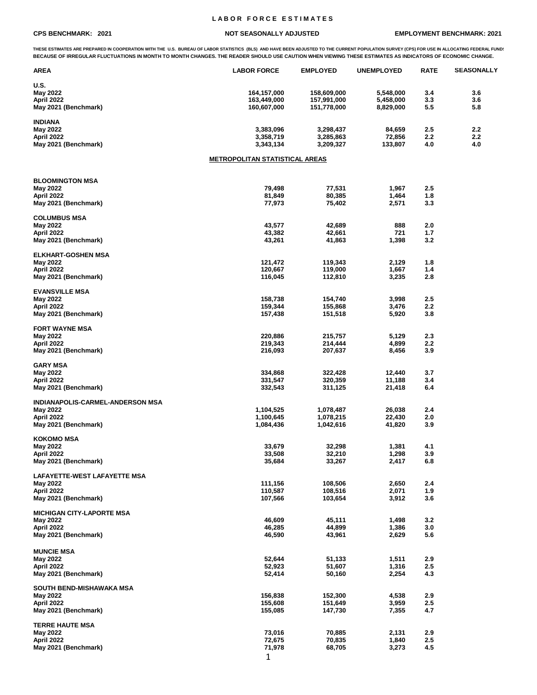## **L A B O R F O R C E E S T I M A T E S**

## **CPS BENCHMARK: 2021 NOT SEASONALLY ADJUSTED EMPLOYMENT BENCHMARK: 2021**

THESE ESTIMATES ARE PREPARED IN COOPERATION WITH THE U.S. BUREAU OF LABOR STATISTICS (BLS) AND HAVE BEEN ADJUSTED TO THE CURRENT POPULATION SURVEY (CPS) FOR USE IN ALLOCATING FEDERAL FUND!<br>BECAUSE OF IRREGULAR FLUCTUATIONS

| <b>AREA</b>                        | <b>LABOR FORCE</b>                    | <b>EMPLOYED</b>    | <b>UNEMPLOYED</b> | <b>RATE</b> | <b>SEASONALLY</b> |
|------------------------------------|---------------------------------------|--------------------|-------------------|-------------|-------------------|
| U.S.                               |                                       |                    |                   |             |                   |
| May 2022                           | 164,157,000                           | 158,609,000        | 5,548,000         | 3.4         | 3.6               |
| April 2022                         | 163,449,000                           | 157,991,000        | 5,458,000         | 3.3         | 3.6               |
| May 2021 (Benchmark)               | 160,607,000                           | 151,778,000        | 8,829,000         | 5.5         | 5.8               |
| <b>INDIANA</b>                     |                                       |                    |                   |             |                   |
| May 2022                           | 3,383,096                             | 3,298,437          | 84,659            | 2.5         | 2.2               |
| April 2022                         | 3,358,719                             | 3,285,863          | 72,856            | 2.2         | 2.2               |
| May 2021 (Benchmark)               | 3,343,134                             | 3,209,327          | 133,807           | 4.0         | 4.0               |
|                                    | <u>METROPOLITAN STATISTICAL AREAS</u> |                    |                   |             |                   |
|                                    |                                       |                    |                   |             |                   |
| <b>BLOOMINGTON MSA</b>             |                                       |                    |                   |             |                   |
| May 2022                           | 79,498                                | 77,531             | 1,967             | 2.5         |                   |
| April 2022                         | 81,849                                | 80,385             | 1,464             | 1.8         |                   |
| May 2021 (Benchmark)               | 77,973                                | 75,402             | 2,571             | 3.3         |                   |
| <b>COLUMBUS MSA</b>                |                                       |                    |                   |             |                   |
| May 2022                           | 43,577                                | 42,689             | 888               | 2.0         |                   |
| April 2022                         | 43,382                                | 42,661             | 721               | 1.7         |                   |
| May 2021 (Benchmark)               | 43,261                                | 41,863             | 1,398             | 3.2         |                   |
| <b>ELKHART-GOSHEN MSA</b>          |                                       |                    |                   |             |                   |
| May 2022                           | 121,472                               | 119,343            | 2,129             | 1.8         |                   |
| April 2022                         | 120,667                               | 119,000            | 1,667             | 1.4         |                   |
| May 2021 (Benchmark)               | 116,045                               | 112,810            | 3,235             | 2.8         |                   |
|                                    |                                       |                    |                   |             |                   |
| <b>EVANSVILLE MSA</b>              |                                       |                    |                   |             |                   |
| May 2022                           | 158,738                               | 154,740            | 3,998             | 2.5         |                   |
| April 2022                         | 159,344                               | 155,868            | 3,476             | 2.2         |                   |
| May 2021 (Benchmark)               | 157,438                               | 151,518            | 5,920             | 3.8         |                   |
| <b>FORT WAYNE MSA</b>              |                                       |                    |                   |             |                   |
| May 2022                           | 220,886                               | 215,757            | 5,129             | 2.3         |                   |
| April 2022                         | 219,343                               | 214,444            | 4,899             | 2.2         |                   |
| May 2021 (Benchmark)               | 216,093                               | 207,637            | 8,456             | 3.9         |                   |
| <b>GARY MSA</b>                    |                                       |                    |                   |             |                   |
| May 2022                           | 334,868                               | 322,428            | 12,440            | 3.7         |                   |
| April 2022                         | 331,547                               | 320,359            | 11,188            | 3.4         |                   |
| May 2021 (Benchmark)               | 332,543                               | 311,125            | 21,418            | 6.4         |                   |
| INDIANAPOLIS-CARMEL-ANDERSON MSA   |                                       |                    |                   |             |                   |
| May 2022                           | 1,104,525                             | 1,078,487          | 26,038            | 2.4         |                   |
| April 2022                         | 1,100,645                             | 1,078,215          | 22,430            | 2.0         |                   |
| May 2021 (Benchmark)               | 1,084,436                             | 1,042,616          | 41,820            | 3.9         |                   |
| <b>KOKOMO MSA</b>                  |                                       |                    |                   |             |                   |
| May 2022                           | 33,679                                | 32,298             | 1,381             | 4.1         |                   |
| April 2022                         | 33,508                                | 32,210             | 1,298             | 3.9         |                   |
| May 2021 (Benchmark)               | 35,684                                | 33,267             | 2,417             | 6.8         |                   |
|                                    |                                       |                    |                   |             |                   |
| LAFAYETTE-WEST LAFAYETTE MSA       |                                       | 108,506            | 2,650             | 2.4         |                   |
| May 2022<br>April 2022             | 111,156                               |                    | 2,071             | 1.9         |                   |
| May 2021 (Benchmark)               | 110,587<br>107,566                    | 108,516<br>103,654 | 3,912             | 3.6         |                   |
|                                    |                                       |                    |                   |             |                   |
| <b>MICHIGAN CITY-LAPORTE MSA</b>   |                                       |                    |                   |             |                   |
| May 2022                           | 46,609                                | 45,111             | 1,498             | 3.2         |                   |
| April 2022<br>May 2021 (Benchmark) | 46,285<br>46,590                      | 44,899<br>43,961   | 1,386<br>2,629    | 3.0<br>5.6  |                   |
|                                    |                                       |                    |                   |             |                   |
| <b>MUNCIE MSA</b>                  |                                       |                    |                   |             |                   |
| <b>May 2022</b>                    | 52,644                                | 51,133             | 1,511             | 2.9         |                   |
| April 2022                         | 52,923                                | 51,607             | 1,316             | 2.5         |                   |
| May 2021 (Benchmark)               | 52,414                                | 50,160             | 2,254             | 4.3         |                   |
| SOUTH BEND-MISHAWAKA MSA           |                                       |                    |                   |             |                   |
| May 2022                           | 156,838                               | 152,300            | 4,538             | 2.9         |                   |
| April 2022                         | 155,608                               | 151,649            | 3,959             | 2.5         |                   |
| May 2021 (Benchmark)               | 155,085                               | 147,730            | 7,355             | 4.7         |                   |
| <b>TERRE HAUTE MSA</b>             |                                       |                    |                   |             |                   |
| May 2022                           | 73,016                                | 70,885             | 2,131             | 2.9         |                   |
| April 2022                         | 72,675                                | 70,835             | 1,840             | 2.5         |                   |
| May 2021 (Benchmark)               | 71,978                                | 68,705             | 3,273             | 4.5         |                   |
|                                    | 1                                     |                    |                   |             |                   |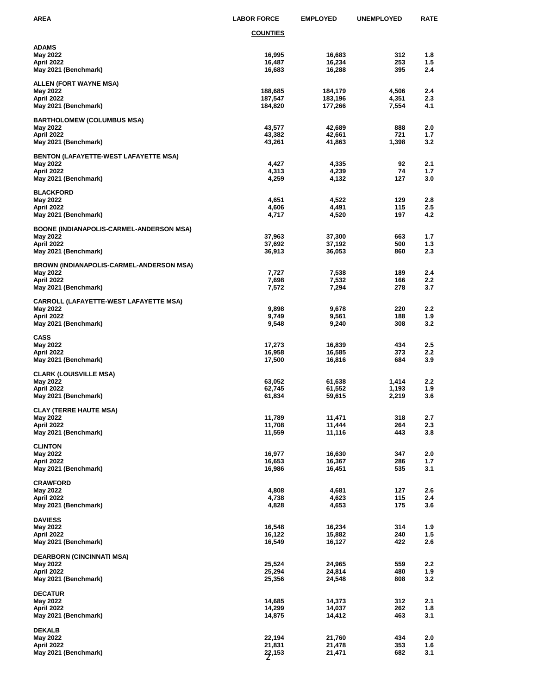| AREA                                                                                       | <b>LABOR FORCE</b>            | <b>EMPLOYED</b>               | <b>UNEMPLOYED</b>       | <b>RATE</b>       |
|--------------------------------------------------------------------------------------------|-------------------------------|-------------------------------|-------------------------|-------------------|
|                                                                                            | <u>COUNTIES</u>               |                               |                         |                   |
| ADAMS<br>May 2022<br>April 2022<br>May 2021 (Benchmark)                                    | 16,995<br>16,487<br>16,683    | 16,683<br>16,234<br>16,288    | 312<br>253<br>395       | 1.8<br>1.5<br>2.4 |
| ALLEN (FORT WAYNE MSA)<br>May 2022<br>April 2022<br>May 2021 (Benchmark)                   | 188,685<br>187,547<br>184,820 | 184,179<br>183,196<br>177,266 | 4,506<br>4,351<br>7,554 | 2.4<br>2.3<br>4.1 |
| <b>BARTHOLOMEW (COLUMBUS MSA)</b><br>May 2022<br>April 2022<br>May 2021 (Benchmark)        | 43,577<br>43,382<br>43,261    | 42,689<br>42,661<br>41,863    | 888<br>721<br>1,398     | 2.0<br>1.7<br>3.2 |
| BENTON (LAFAYETTE-WEST LAFAYETTE MSA)<br>May 2022<br>April 2022<br>May 2021 (Benchmark)    | 4,427<br>4,313<br>4,259       | 4,335<br>4,239<br>4,132       | 92<br>74<br>127         | 2.1<br>1.7<br>3.0 |
| <b>BLACKFORD</b><br>May 2022<br>April 2022<br>May 2021 (Benchmark)                         | 4,651<br>4,606<br>4,717       | 4,522<br>4,491<br>4,520       | 129<br>115<br>197       | 2.8<br>2.5<br>4.2 |
| BOONE (INDIANAPOLIS-CARMEL-ANDERSON MSA)<br>May 2022<br>April 2022<br>May 2021 (Benchmark) | 37,963<br>37,692<br>36,913    | 37,300<br>37,192<br>36,053    | 663<br>500<br>860       | 1.7<br>1.3<br>2.3 |
| BROWN (INDIANAPOLIS-CARMEL-ANDERSON MSA)<br>May 2022<br>April 2022<br>May 2021 (Benchmark) | 7,727<br>7,698<br>7,572       | 7,538<br>7,532<br>7,294       | 189<br>166<br>278       | 2.4<br>2.2<br>3.7 |
| CARROLL (LAFAYETTE-WEST LAFAYETTE MSA)<br>May 2022<br>April 2022<br>May 2021 (Benchmark)   | 9,898<br>9,749<br>9,548       | 9,678<br>9,561<br>9,240       | 220<br>188<br>308       | 2.2<br>1.9<br>3.2 |
| CASS<br>May 2022<br>April 2022<br>May 2021 (Benchmark)                                     | 17,273<br>16,958<br>17,500    | 16,839<br>16,585<br>16,816    | 434<br>373<br>684       | 2.5<br>2.2<br>3.9 |
| CLARK (LOUISVILLE MSA)<br>May 2022<br>April 2022<br>May 2021 (Benchmark)                   | 63,052<br>62,745<br>61,834    | 61,638<br>61,552<br>59,615    | 1,414<br>1,193<br>2,219 | 2.2<br>1.9<br>3.6 |
| CLAY (TERRE HAUTE MSA)<br>May 2022<br>April 2022<br>May 2021 (Benchmark)                   | 11,789<br>11,708<br>11,559    | 11,471<br>11,444<br>11,116    | 318<br>264<br>443       | 2.7<br>2.3<br>3.8 |
| CLINTON<br>May 2022<br>April 2022<br>May 2021 (Benchmark)                                  | 16,977<br>16,653<br>16,986    | 16,630<br>16,367<br>16,451    | 347<br>286<br>535       | 2.0<br>1.7<br>3.1 |
| CRAWFORD<br>May 2022<br>April 2022<br>May 2021 (Benchmark)                                 | 4,808<br>4,738<br>4,828       | 4,681<br>4,623<br>4,653       | 127<br>115<br>175       | 2.6<br>2.4<br>3.6 |
| <b>DAVIESS</b><br>May 2022<br>April 2022<br>May 2021 (Benchmark)                           | 16,548<br>16,122<br>16,549    | 16,234<br>15,882<br>16,127    | 314<br>240<br>422       | 1.9<br>1.5<br>2.6 |
| DEARBORN (CINCINNATI MSA)<br>May 2022<br>April 2022<br>May 2021 (Benchmark)                | 25,524<br>25,294<br>25,356    | 24,965<br>24,814<br>24,548    | 559<br>480<br>808       | 2.2<br>1.9<br>3.2 |
| <b>DECATUR</b><br>May 2022<br>April 2022<br>May 2021 (Benchmark)                           | 14,685<br>14,299<br>14,875    | 14,373<br>14,037<br>14,412    | 312<br>262<br>463       | 2.1<br>1.8<br>3.1 |
| <b>DEKALB</b><br>May 2022<br>April 2022<br>May 2021 (Benchmark)                            | 22,194<br>21,831<br>22,153    | 21,760<br>21,478<br>21,471    | 434<br>353<br>682       | 2.0<br>1.6<br>3.1 |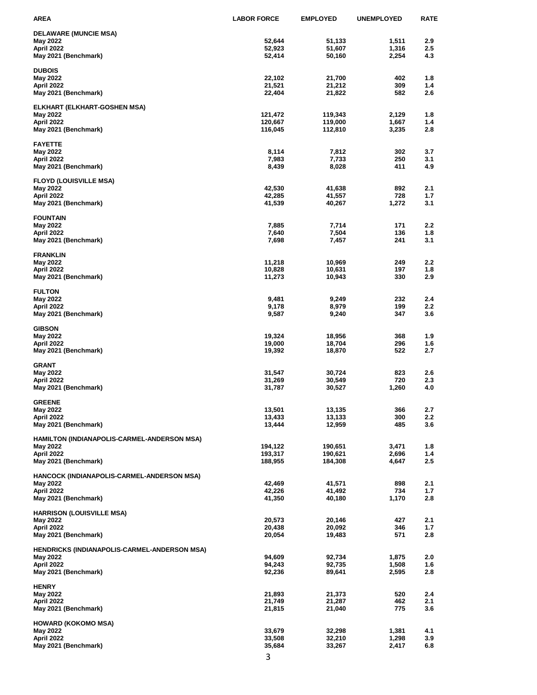| AREA                                                   | <b>LABOR FORCE</b> | <b>EMPLOYED</b>    | <b>UNEMPLOYED</b> | <b>RATE</b> |
|--------------------------------------------------------|--------------------|--------------------|-------------------|-------------|
| <b>DELAWARE (MUNCIE MSA)</b>                           |                    |                    |                   |             |
| May 2022                                               | 52,644             | 51,133             | 1,511             | 2.9         |
| April 2022                                             | 52,923             | 51,607             | 1,316             | 2.5         |
| May 2021 (Benchmark)                                   | 52,414             | 50,160             | 2,254             | 4.3         |
| <b>DUBOIS</b>                                          |                    |                    |                   |             |
| May 2022                                               | 22,102             | 21,700             | 402               | 1.8         |
| April 2022<br>May 2021 (Benchmark)                     | 21,521<br>22,404   | 21,212<br>21,822   | 309<br>582        | 1.4<br>2.6  |
|                                                        |                    |                    |                   |             |
| ELKHART (ELKHART-GOSHEN MSA)                           |                    |                    |                   |             |
| May 2022                                               | 121,472            | 119,343<br>119,000 | 2,129             | 1.8         |
| April 2022<br>May 2021 (Benchmark)                     | 120,667<br>116,045 | 112,810            | 1,667<br>3,235    | 1.4<br>2.8  |
|                                                        |                    |                    |                   |             |
| <b>FAYETTE</b>                                         |                    |                    |                   |             |
| May 2022<br>April 2022                                 | 8,114<br>7,983     | 7,812<br>7,733     | 302<br>250        | 3.7<br>3.1  |
| May 2021 (Benchmark)                                   | 8,439              | 8,028              | 411               | 4.9         |
|                                                        |                    |                    |                   |             |
| <b>FLOYD (LOUISVILLE MSA)</b><br>May 2022              | 42,530             | 41,638             | 892               | 2.1         |
| April 2022                                             | 42,285             | 41,557             | 728               | 1.7         |
| May 2021 (Benchmark)                                   | 41,539             | 40,267             | 1,272             | 3.1         |
|                                                        |                    |                    |                   |             |
| <b>FOUNTAIN</b><br>May 2022                            | 7,885              | 7,714              | 171               | 2.2         |
| April 2022                                             | 7,640              | 7,504              | 136               | 1.8         |
| May 2021 (Benchmark)                                   | 7,698              | 7,457              | 241               | 3.1         |
| <b>FRANKLIN</b>                                        |                    |                    |                   |             |
| May 2022                                               | 11,218             | 10,969             | 249               | 2.2         |
| April 2022                                             | 10,828             | 10,631             | 197               | 1.8         |
| May 2021 (Benchmark)                                   | 11,273             | 10,943             | 330               | 2.9         |
| <b>FULTON</b>                                          |                    |                    |                   |             |
| May 2022                                               | 9,481              | 9,249              | 232               | 2.4         |
| April 2022                                             | 9,178              | 8,979              | 199               | $2.2\,$     |
| May 2021 (Benchmark)                                   | 9,587              | 9,240              | 347               | 3.6         |
| <b>GIBSON</b>                                          |                    |                    |                   |             |
| May 2022                                               | 19,324             | 18,956             | 368               | 1.9         |
| April 2022                                             | 19,000             | 18,704             | 296               | 1.6         |
| May 2021 (Benchmark)                                   | 19,392             | 18,870             | 522               | 2.7         |
| GRANT                                                  |                    |                    |                   |             |
| May 2022                                               | 31,547             | 30,724             | 823               | 2.6         |
| April 2022<br>May 2021 (Benchmark)                     | 31,269<br>31,787   | 30,549<br>30,527   | 720<br>1,260      | 2.3<br>4.0  |
|                                                        |                    |                    |                   |             |
| <b>GREENE</b>                                          |                    |                    |                   |             |
| May 2022<br>April 2022                                 | 13,501<br>13,433   | 13,135             | 366<br>300        | 2.7<br>2.2  |
| May 2021 (Benchmark)                                   | 13,444             | 13,133<br>12,959   | 485               | 3.6         |
|                                                        |                    |                    |                   |             |
| HAMILTON (INDIANAPOLIS-CARMEL-ANDERSON MSA)            |                    |                    |                   |             |
| May 2022<br>April 2022                                 | 194,122<br>193,317 | 190,651<br>190,621 | 3,471<br>2,696    | 1.8<br>1.4  |
| May 2021 (Benchmark)                                   | 188,955            | 184,308            | 4,647             | 2.5         |
|                                                        |                    |                    |                   |             |
| HANCOCK (INDIANAPOLIS-CARMEL-ANDERSON MSA)<br>May 2022 | 42,469             | 41,571             | 898               | 2.1         |
| April 2022                                             | 42,226             | 41,492             | 734               | 1.7         |
| May 2021 (Benchmark)                                   | 41,350             | 40,180             | 1,170             | 2.8         |
| <b>HARRISON (LOUISVILLE MSA)</b>                       |                    |                    |                   |             |
| May 2022                                               | 20,573             | 20,146             | 427               | 2.1         |
| April 2022                                             | 20,438             | 20,092             | 346               | 1.7         |
| May 2021 (Benchmark)                                   | 20,054             | 19,483             | 571               | 2.8         |
| HENDRICKS (INDIANAPOLIS-CARMEL-ANDERSON MSA)           |                    |                    |                   |             |
| May 2022                                               | 94,609             | 92,734             | 1,875             | 2.0         |
| April 2022                                             | 94,243             | 92,735             | 1,508             | 1.6         |
| May 2021 (Benchmark)                                   | 92,236             | 89,641             | 2,595             | 2.8         |
| <b>HENRY</b>                                           |                    |                    |                   |             |
| May 2022                                               | 21,893             | 21,373             | 520               | 2.4         |
| April 2022                                             | 21,749             | 21,287             | 462               | 2.1         |
| May 2021 (Benchmark)                                   | 21,815             | 21,040             | 775               | 3.6         |
| HOWARD (KOKOMO MSA)                                    |                    |                    |                   |             |
| May 2022                                               | 33,679             | 32,298             | 1,381             | 4.1         |
| April 2022<br>May 2021 (Benchmark)                     | 33,508<br>35,684   | 32,210<br>33,267   | 1,298<br>2,417    | 3.9<br>6.8  |
|                                                        |                    |                    |                   |             |
|                                                        | 3                  |                    |                   |             |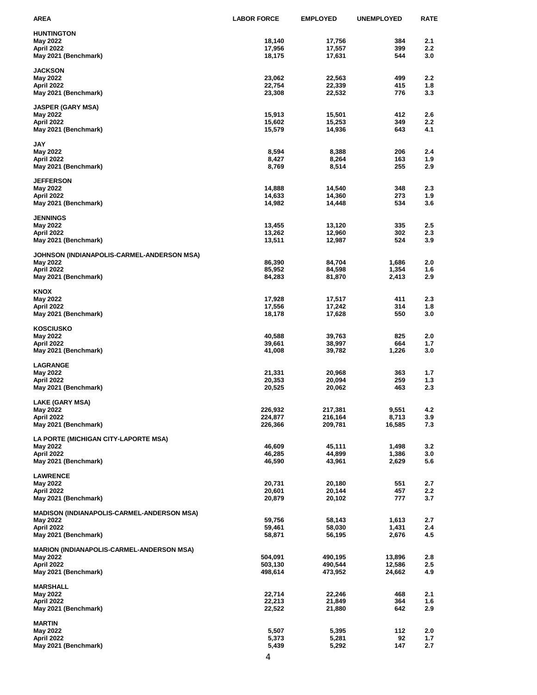| AREA                                                   | <b>LABOR FORCE</b> | <b>EMPLOYED</b> | <b>UNEMPLOYED</b> | <b>RATE</b>      |
|--------------------------------------------------------|--------------------|-----------------|-------------------|------------------|
| <b>HUNTINGTON</b>                                      |                    |                 |                   |                  |
| May 2022                                               | 18,140             | 17,756          | 384               | 2.1              |
| April 2022                                             | 17,956             | 17,557          | 399               | 2.2              |
| May 2021 (Benchmark)                                   | 18,175             | 17,631          | 544               | 3.0              |
| <b>JACKSON</b>                                         |                    |                 |                   |                  |
| May 2022                                               | 23,062             | 22,563          | 499               | $2.2\,$          |
| April 2022                                             | 22,754             | 22,339          | 415               | 1.8              |
| May 2021 (Benchmark)                                   | 23,308             | 22,532          | 776               | 3.3              |
| <b>JASPER (GARY MSA)</b>                               |                    |                 |                   |                  |
| May 2022                                               | 15,913             | 15,501          | 412               | 2.6              |
| April 2022                                             | 15,602             | 15,253          | 349               | $2.2\,$          |
| May 2021 (Benchmark)                                   | 15,579             | 14,936          | 643               | 4.1              |
| <b>JAY</b>                                             |                    |                 |                   |                  |
| May 2022                                               | 8,594              | 8,388           | 206               | 2.4              |
| April 2022                                             | 8,427              | 8,264           | 163               | 1.9              |
| May 2021 (Benchmark)                                   | 8,769              | 8,514           | 255               | 2.9              |
| <b>JEFFERSON</b>                                       |                    |                 |                   |                  |
| May 2022                                               | 14,888             | 14,540          | 348               | 2.3              |
| April 2022                                             | 14,633             | 14,360          | 273               | 1.9              |
| May 2021 (Benchmark)                                   | 14,982             | 14,448          | 534               | 3.6              |
| <b>JENNINGS</b>                                        |                    |                 |                   |                  |
| May 2022                                               | 13,455             | 13,120          | 335               | 2.5              |
| April 2022                                             | 13,262             | 12,960          | 302               | 2.3              |
| May 2021 (Benchmark)                                   | 13,511             | 12,987          | 524               | 3.9              |
|                                                        |                    |                 |                   |                  |
| JOHNSON (INDIANAPOLIS-CARMEL-ANDERSON MSA)<br>May 2022 | 86,390             | 84,704          | 1,686             | 2.0              |
| April 2022                                             | 85,952             | 84,598          | 1,354             | 1.6              |
| May 2021 (Benchmark)                                   | 84,283             | 81,870          | 2,413             | 2.9              |
| KNOX                                                   |                    |                 |                   |                  |
| May 2022                                               | 17,928             | 17,517          | 411               | 2.3              |
| April 2022                                             | 17,556             | 17,242          | 314               | 1.8              |
| May 2021 (Benchmark)                                   | 18,178             | 17,628          | 550               | 3.0              |
| <b>KOSCIUSKO</b>                                       |                    |                 |                   |                  |
| May 2022                                               | 40,588             | 39,763          | 825               | 2.0              |
| April 2022                                             | 39,661             | 38,997          | 664               | 1.7              |
| May 2021 (Benchmark)                                   | 41,008             | 39,782          | 1,226             | 3.0              |
| <b>LAGRANGE</b>                                        |                    |                 |                   |                  |
| May 2022                                               | 21,331             | 20,968          | 363               | 1.7              |
| April 2022                                             | 20,353             | 20,094          | 259               | 1.3              |
| May 2021 (Benchmark)                                   | 20,525             | 20,062          | 463               | 2.3              |
| LAKE (GARY MSA)                                        |                    |                 |                   |                  |
| May 2022                                               | 226,932            | 217,381         | 9,551             | 4.2              |
| April 2022                                             | 224,877            | 216,164         | 8,713             | 3.9              |
| May 2021 (Benchmark)                                   | 226,366            | 209,781         | 16,585            | 7.3              |
| LA PORTE (MICHIGAN CITY-LAPORTE MSA)                   |                    |                 |                   |                  |
| May 2022                                               | 46,609             | 45,111          | 1,498             | 3.2              |
| April 2022                                             | 46,285             | 44,899          | 1,386             | 3.0              |
| May 2021 (Benchmark)                                   | 46,590             | 43,961          | 2,629             | 5.6              |
| <b>LAWRENCE</b>                                        |                    |                 |                   |                  |
| May 2022                                               | 20,731             | 20,180          | 551               | 2.7              |
| April 2022                                             | 20,601             | 20,144          | 457               | $2.2\phantom{0}$ |
| May 2021 (Benchmark)                                   | 20,879             | 20,102          | 777               | 3.7              |
| <b>MADISON (INDIANAPOLIS-CARMEL-ANDERSON MSA)</b>      |                    |                 |                   |                  |
| May 2022                                               | 59,756             | 58,143          | 1,613             | 2.7              |
| April 2022                                             | 59,461             | 58,030          | 1,431             | 2.4              |
| May 2021 (Benchmark)                                   | 58,871             | 56,195          | 2,676             | 4.5              |
| <b>MARION (INDIANAPOLIS-CARMEL-ANDERSON MSA)</b>       |                    |                 |                   |                  |
| May 2022                                               | 504,091            | 490,195         | 13,896            | 2.8              |
| April 2022                                             | 503,130            | 490,544         | 12,586            | 2.5              |
| May 2021 (Benchmark)                                   | 498,614            | 473,952         | 24,662            | 4.9              |
| <b>MARSHALL</b>                                        |                    |                 |                   |                  |
| May 2022                                               | 22,714             | 22,246          | 468               | 2.1              |
| April 2022                                             | 22,213             | 21,849          | 364               | 1.6              |
| May 2021 (Benchmark)                                   | 22,522             | 21,880          | 642               | 2.9              |
| <b>MARTIN</b>                                          |                    |                 |                   |                  |
| May 2022                                               | 5,507              | 5,395           | 112               | 2.0              |
| April 2022                                             | 5,373              | 5,281           | 92                | 1.7              |
| May 2021 (Benchmark)                                   | 5,439              | 5,292           | 147               | 2.7              |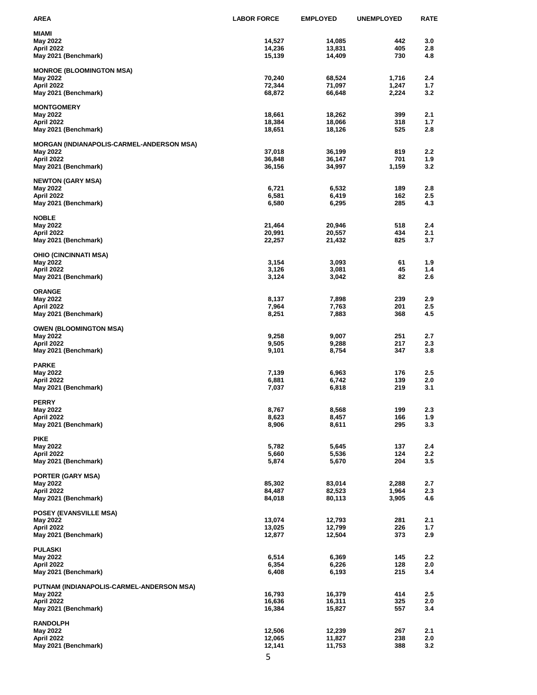| AREA                                      | <b>LABOR FORCE</b> | <b>EMPLOYED</b>  | <b>UNEMPLOYED</b> | <b>RATE</b> |
|-------------------------------------------|--------------------|------------------|-------------------|-------------|
| MIAMI                                     |                    |                  |                   |             |
| May 2022                                  | 14,527             | 14,085           | 442               | 3.0         |
| April 2022                                | 14,236             | 13,831           | 405               | 2.8         |
| May 2021 (Benchmark)                      | 15,139             | 14,409           | 730               | 4.8         |
| <b>MONROE (BLOOMINGTON MSA)</b>           |                    |                  |                   |             |
| May 2022                                  | 70,240             | 68,524           | 1,716             | 2.4         |
| April 2022                                | 72,344             | 71,097           | 1,247             | 1.7         |
| May 2021 (Benchmark)                      | 68,872             | 66,648           | 2,224             | 3.2         |
| <b>MONTGOMERY</b>                         |                    |                  |                   |             |
| May 2022                                  | 18,661             | 18,262           | 399               | 2.1         |
| April 2022                                | 18,384             | 18,066           | 318               | 1.7         |
| May 2021 (Benchmark)                      | 18,651             | 18,126           | 525               | 2.8         |
| MORGAN (INDIANAPOLIS-CARMEL-ANDERSON MSA) |                    |                  |                   |             |
| May 2022                                  | 37,018             | 36,199           | 819               | 2.2         |
| April 2022                                | 36,848             | 36,147           | 701               | 1.9         |
| May 2021 (Benchmark)                      | 36,156             | 34,997           | 1,159             | 3.2         |
| <b>NEWTON (GARY MSA)</b>                  |                    |                  |                   |             |
| May 2022                                  | 6,721              | 6,532            | 189               | 2.8         |
| April 2022                                | 6,581              | 6,419            | 162               | 2.5         |
| May 2021 (Benchmark)                      | 6,580              | 6,295            | 285               | 4.3         |
| <b>NOBLE</b>                              |                    |                  |                   |             |
| May 2022                                  | 21,464             | 20,946           | 518               | 2.4         |
| April 2022                                | 20,991             | 20,557           | 434               | 2.1         |
| May 2021 (Benchmark)                      | 22,257             | 21,432           | 825               | 3.7         |
|                                           |                    |                  |                   |             |
| OHIO (CINCINNATI MSA)<br>May 2022         | 3,154              | 3,093            | 61                | 1.9         |
| April 2022                                | 3,126              | 3,081            | 45                | 1.4         |
| May 2021 (Benchmark)                      | 3,124              | 3,042            | 82                | 2.6         |
|                                           |                    |                  |                   |             |
| <b>ORANGE</b><br>May 2022                 | 8,137              | 7,898            | 239               | 2.9         |
| April 2022                                | 7,964              | 7,763            | 201               | 2.5         |
| May 2021 (Benchmark)                      | 8,251              | 7,883            | 368               | 4.5         |
|                                           |                    |                  |                   |             |
| <b>OWEN (BLOOMINGTON MSA)</b><br>May 2022 | 9,258              | 9,007            | 251               | 2.7         |
| April 2022                                | 9,505              | 9,288            | 217               | 2.3         |
| May 2021 (Benchmark)                      | 9,101              | 8,754            | 347               | 3.8         |
|                                           |                    |                  |                   |             |
| <b>PARKE</b>                              | 7,139              |                  | 176               | 2.5         |
| May 2022<br>April 2022                    | 6,881              | 6,963<br>6,742   | 139               | 2.0         |
| May 2021 (Benchmark)                      | 7,037              | 6,818            | 219               | 3.1         |
|                                           |                    |                  |                   |             |
| <b>PERRY</b><br>May 2022                  | 8,767              | 8,568            | 199               | 2.3         |
| April 2022                                | 8,623              | 8,457            | 166               | 1.9         |
| May 2021 (Benchmark)                      | 8,906              | 8,611            | 295               | 3.3         |
|                                           |                    |                  |                   |             |
| <b>PIKE</b>                               | 5,782              | 5,645            | 137               | 2.4         |
| May 2022<br>April 2022                    | 5,660              | 5,536            | 124               | 2.2         |
| May 2021 (Benchmark)                      | 5,874              | 5,670            | 204               | 3.5         |
|                                           |                    |                  |                   |             |
| <b>PORTER (GARY MSA)</b><br>May 2022      | 85,302             |                  | 2,288             | 2.7         |
| April 2022                                | 84,487             | 83,014<br>82,523 | 1,964             | 2.3         |
| May 2021 (Benchmark)                      | 84,018             | 80,113           | 3,905             | 4.6         |
|                                           |                    |                  |                   |             |
| <b>POSEY (EVANSVILLE MSA)</b>             |                    |                  |                   |             |
| May 2022<br>April 2022                    | 13,074<br>13,025   | 12,793<br>12,799 | 281<br>226        | 2.1<br>1.7  |
| May 2021 (Benchmark)                      | 12,877             | 12,504           | 373               | 2.9         |
|                                           |                    |                  |                   |             |
| <b>PULASKI</b>                            | 6,514              |                  |                   |             |
| May 2022<br>April 2022                    | 6,354              | 6,369<br>6,226   | 145<br>128        | 2.2<br>2.0  |
| May 2021 (Benchmark)                      | 6,408              | 6,193            | 215               | 3.4         |
|                                           |                    |                  |                   |             |
| PUTNAM (INDIANAPOLIS-CARMEL-ANDERSON MSA) |                    |                  |                   |             |
| May 2022<br>April 2022                    | 16,793<br>16,636   | 16,379<br>16,311 | 414<br>325        | 2.5<br>2.0  |
| May 2021 (Benchmark)                      | 16,384             | 15,827           | 557               | 3.4         |
|                                           |                    |                  |                   |             |
| <b>RANDOLPH</b>                           |                    |                  |                   |             |
| May 2022<br>April 2022                    | 12,506<br>12,065   | 12,239<br>11,827 | 267<br>238        | 2.1<br>2.0  |
| May 2021 (Benchmark)                      | 12,141             | 11,753           | 388               | 3.2         |
|                                           |                    |                  |                   |             |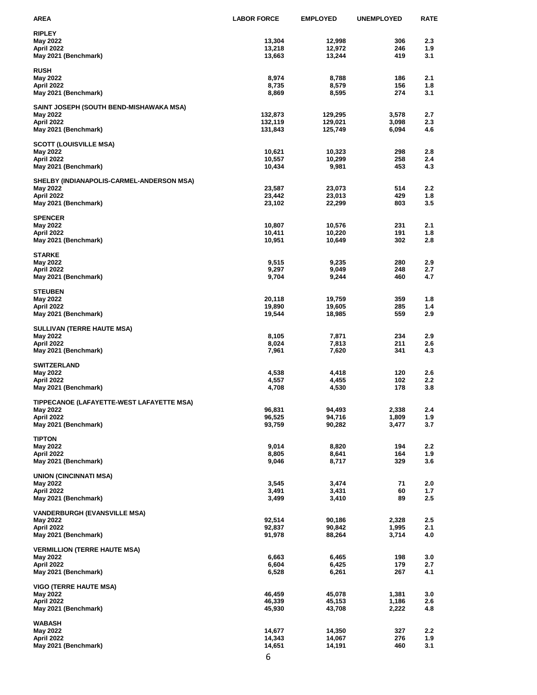| AREA                                                  | <b>LABOR FORCE</b> | <b>EMPLOYED</b>  | <b>UNEMPLOYED</b> | <b>RATE</b> |
|-------------------------------------------------------|--------------------|------------------|-------------------|-------------|
| <b>RIPLEY</b>                                         |                    |                  |                   |             |
| May 2022                                              | 13,304             | 12,998           | 306               | 2.3         |
| April 2022                                            | 13,218             | 12,972           | 246               | 1.9         |
| May 2021 (Benchmark)                                  | 13,663             | 13,244           | 419               | 3.1         |
| <b>RUSH</b>                                           |                    |                  |                   |             |
| May 2022                                              | 8,974              | 8,788            | 186               | 2.1         |
| April 2022                                            | 8,735              | 8,579            | 156               | 1.8         |
| May 2021 (Benchmark)                                  | 8,869              | 8,595            | 274               | 3.1         |
| SAINT JOSEPH (SOUTH BEND-MISHAWAKA MSA)               |                    |                  |                   |             |
| May 2022                                              | 132,873            | 129,295          | 3,578             | 2.7         |
| April 2022                                            | 132,119            | 129,021          | 3,098             | 2.3         |
| May 2021 (Benchmark)                                  | 131,843            | 125,749          | 6,094             | 4.6         |
| <b>SCOTT (LOUISVILLE MSA)</b>                         |                    |                  |                   |             |
| May 2022                                              | 10,621             | 10,323           | 298               | 2.8         |
| April 2022                                            | 10,557             | 10,299           | 258               | 2.4<br>4.3  |
| May 2021 (Benchmark)                                  | 10,434             | 9,981            | 453               |             |
| SHELBY (INDIANAPOLIS-CARMEL-ANDERSON MSA)             |                    |                  |                   |             |
| May 2022                                              | 23,587             | 23,073           | 514               | 2.2         |
| April 2022<br>May 2021 (Benchmark)                    | 23,442<br>23,102   | 23,013<br>22,299 | 429<br>803        | 1.8<br>3.5  |
|                                                       |                    |                  |                   |             |
| <b>SPENCER</b>                                        |                    |                  |                   |             |
| May 2022                                              | 10,807             | 10,576           | 231               | 2.1         |
| April 2022                                            | 10,411<br>10,951   | 10,220<br>10,649 | 191<br>302        | 1.8<br>2.8  |
| May 2021 (Benchmark)                                  |                    |                  |                   |             |
| STARKE                                                |                    |                  |                   |             |
| May 2022                                              | 9,515              | 9,235            | 280               | 2.9         |
| April 2022<br>May 2021 (Benchmark)                    | 9,297<br>9,704     | 9,049<br>9,244   | 248<br>460        | 2.7<br>4.7  |
|                                                       |                    |                  |                   |             |
| <b>STEUBEN</b>                                        |                    |                  |                   |             |
| May 2022                                              | 20,118             | 19,759           | 359<br>285        | 1.8<br>1.4  |
| April 2022<br>May 2021 (Benchmark)                    | 19,890<br>19,544   | 19,605<br>18,985 | 559               | 2.9         |
|                                                       |                    |                  |                   |             |
| <b>SULLIVAN (TERRE HAUTE MSA)</b>                     |                    |                  |                   |             |
| May 2022<br>April 2022                                | 8,105<br>8,024     | 7,871<br>7,813   | 234<br>211        | 2.9<br>2.6  |
| May 2021 (Benchmark)                                  | 7,961              | 7,620            | 341               | 4.3         |
|                                                       |                    |                  |                   |             |
| <b>SWITZERLAND</b>                                    |                    |                  |                   |             |
| May 2022<br>April 2022                                | 4,538<br>4,557     | 4,418<br>4,455   | 120<br>102        | 2.6<br>2.2  |
| May 2021 (Benchmark)                                  | 4,708              | 4,530            | 178               | 3.8         |
|                                                       |                    |                  |                   |             |
| TIPPECANOE (LAFAYETTE-WEST LAFAYETTE MSA)<br>May 2022 | 96,831             | 94,493           | 2,338             | 2.4         |
| April 2022                                            | 96,525             | 94,716           | 1,809             | 1.9         |
| May 2021 (Benchmark)                                  | 93,759             | 90,282           | 3,477             | 3.7         |
|                                                       |                    |                  |                   |             |
| <b>TIPTON</b><br>May 2022                             | 9,014              | 8,820            | 194               | 2.2         |
| April 2022                                            | 8,805              | 8,641            | 164               | 1.9         |
| May 2021 (Benchmark)                                  | 9,046              | 8,717            | 329               | 3.6         |
|                                                       |                    |                  |                   |             |
| UNION (CINCINNATI MSA)<br>May 2022                    | 3,545              | 3,474            | 71                | 2.0         |
| April 2022                                            | 3,491              | 3,431            | 60                | 1.7         |
| May 2021 (Benchmark)                                  | 3,499              | 3,410            | 89                | 2.5         |
| <b>VANDERBURGH (EVANSVILLE MSA)</b>                   |                    |                  |                   |             |
| May 2022                                              | 92,514             | 90,186           | 2,328             | 2.5         |
| April 2022                                            | 92,837             | 90,842           | 1,995             | 2.1         |
| May 2021 (Benchmark)                                  | 91,978             | 88,264           | 3,714             | 4.0         |
| <b>VERMILLION (TERRE HAUTE MSA)</b>                   |                    |                  |                   |             |
| May 2022                                              | 6,663              | 6,465            | 198               | 3.0         |
| April 2022                                            | 6,604              | 6,425            | 179               | 2.7         |
| May 2021 (Benchmark)                                  | 6,528              | 6,261            | 267               | 4.1         |
| <b>VIGO (TERRE HAUTE MSA)</b>                         |                    |                  |                   |             |
| May 2022                                              | 46,459             | 45,078           | 1,381             | 3.0         |
| April 2022                                            | 46,339             | 45,153           | 1,186             | 2.6         |
| May 2021 (Benchmark)                                  | 45,930             | 43,708           | 2,222             | 4.8         |
| <b>WABASH</b>                                         |                    |                  |                   |             |
| May 2022                                              | 14,677             | 14,350           | 327               | 2.2         |
| April 2022                                            | 14,343             | 14,067           | 276               | 1.9         |
| May 2021 (Benchmark)                                  | 14,651             | 14,191           | 460               | 3.1         |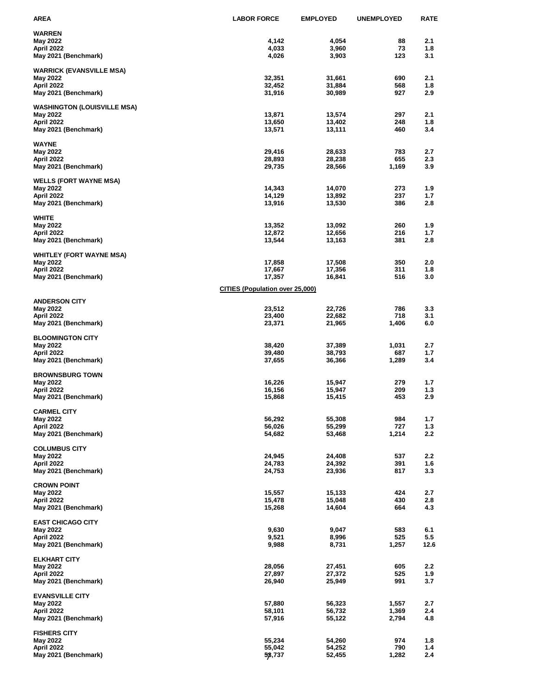| AREA                               | <b>LABOR FORCE</b>                     | <b>EMPLOYED</b>  | <b>UNEMPLOYED</b> | <b>RATE</b> |
|------------------------------------|----------------------------------------|------------------|-------------------|-------------|
| <b>WARREN</b>                      |                                        |                  |                   |             |
| May 2022                           | 4,142                                  | 4,054            | 88                | 2.1         |
| April 2022                         | 4,033                                  | 3,960            | 73                | 1.8         |
| May 2021 (Benchmark)               | 4,026                                  | 3,903            | 123               | 3.1         |
| <b>WARRICK (EVANSVILLE MSA)</b>    |                                        |                  |                   |             |
| May 2022                           | 32,351                                 | 31,661           | 690               | 2.1         |
| April 2022                         | 32,452                                 | 31,884           | 568               | 1.8         |
| May 2021 (Benchmark)               | 31,916                                 | 30,989           | 927               | 2.9         |
| <b>WASHINGTON (LOUISVILLE MSA)</b> |                                        |                  |                   |             |
| May 2022                           | 13,871                                 | 13,574           | 297               | 2.1         |
| April 2022                         | 13,650                                 | 13,402           | 248               | 1.8         |
| May 2021 (Benchmark)               | 13,571                                 | 13,111           | 460               | 3.4         |
| WAYNE                              |                                        |                  |                   |             |
| May 2022                           | 29,416                                 | 28,633           | 783               | 2.7         |
| April 2022                         | 28,893                                 | 28,238           | 655               | 2.3         |
| May 2021 (Benchmark)               | 29,735                                 | 28,566           | 1,169             | 3.9         |
| <b>WELLS (FORT WAYNE MSA)</b>      |                                        |                  |                   |             |
| May 2022                           | 14,343                                 | 14,070           | 273               | 1.9         |
| April 2022                         | 14,129                                 | 13,892           | 237               | 1.7         |
| May 2021 (Benchmark)               | 13,916                                 | 13,530           | 386               | 2.8         |
|                                    |                                        |                  |                   |             |
| <b>WHITE</b>                       |                                        |                  | 260               |             |
| May 2022<br>April 2022             | 13,352<br>12,872                       | 13,092<br>12,656 | 216               | 1.9<br>1.7  |
| May 2021 (Benchmark)               | 13,544                                 | 13,163           | 381               | 2.8         |
|                                    |                                        |                  |                   |             |
| <b>WHITLEY (FORT WAYNE MSA)</b>    |                                        |                  |                   |             |
| May 2022                           | 17,858<br>17,667                       | 17,508           | 350<br>311        | 2.0<br>1.8  |
| April 2022<br>May 2021 (Benchmark) | 17,357                                 | 17,356<br>16,841 | 516               | 3.0         |
|                                    |                                        |                  |                   |             |
|                                    | <b>CITIES (Population over 25,000)</b> |                  |                   |             |
| <b>ANDERSON CITY</b>               |                                        |                  |                   |             |
| May 2022                           | 23,512                                 | 22,726           | 786               | 3.3         |
| April 2022                         | 23,400                                 | 22,682           | 718               | 3.1         |
| May 2021 (Benchmark)               | 23,371                                 | 21,965           | 1,406             | 6.0         |
| <b>BLOOMINGTON CITY</b>            |                                        |                  |                   |             |
| May 2022                           | 38,420                                 | 37,389           | 1,031             | 2.7         |
| April 2022                         | 39,480                                 | 38,793           | 687               | 1.7         |
| May 2021 (Benchmark)               | 37,655                                 | 36,366           | 1,289             | 3.4         |
| <b>BROWNSBURG TOWN</b>             |                                        |                  |                   |             |
| May 2022                           | 16,226                                 | 15,947           | 279               | 1.7         |
| April 2022                         | 16,156                                 | 15,947           | 209               | 1.3         |
| May 2021 (Benchmark)               | 15,868                                 | 15,415           | 453               | 2.9         |
| <b>CARMEL CITY</b>                 |                                        |                  |                   |             |
| May 2022                           | 56,292                                 | 55,308           | 984               | 1.7         |
| April 2022                         | 56,026                                 | 55,299           | 727               | 1.3         |
| May 2021 (Benchmark)               | 54,682                                 | 53,468           | 1,214             | $2.2\,$     |
| <b>COLUMBUS CITY</b>               |                                        |                  |                   |             |
| May 2022                           | 24,945                                 | 24,408           | 537               | 2.2         |
| April 2022                         | 24,783                                 | 24,392           | 391               | 1.6         |
| May 2021 (Benchmark)               | 24,753                                 | 23,936           | 817               | 3.3         |
|                                    |                                        |                  |                   |             |
| <b>CROWN POINT</b><br>May 2022     | 15,557                                 | 15,133           | 424               | 2.7         |
| April 2022                         | 15,478                                 | 15,048           | 430               | 2.8         |
| May 2021 (Benchmark)               | 15,268                                 | 14,604           | 664               | 4.3         |
|                                    |                                        |                  |                   |             |
| <b>EAST CHICAGO CITY</b>           |                                        |                  |                   |             |
| May 2022<br>April 2022             | 9,630<br>9,521                         | 9,047<br>8,996   | 583<br>525        | 6.1<br>5.5  |
| May 2021 (Benchmark)               | 9,988                                  | 8,731            | 1,257             | 12.6        |
|                                    |                                        |                  |                   |             |
| <b>ELKHART CITY</b>                |                                        |                  |                   |             |
| May 2022                           | 28,056                                 | 27,451           | 605               | 2.2         |
| April 2022<br>May 2021 (Benchmark) | 27,897<br>26,940                       | 27,372<br>25,949 | 525<br>991        | 1.9<br>3.7  |
|                                    |                                        |                  |                   |             |
| <b>EVANSVILLE CITY</b>             |                                        |                  |                   |             |
| May 2022                           | 57,880                                 | 56,323           | 1,557             | 2.7         |
| April 2022                         | 58,101                                 | 56,732           | 1,369             | 2.4         |
| May 2021 (Benchmark)               | 57,916                                 | 55,122           | 2,794             | 4.8         |
| <b>FISHERS CITY</b>                |                                        |                  |                   |             |
| May 2022                           | 55,234                                 | 54,260           | 974               | 1.8         |
| April 2022                         | 55,042                                 | 54,252           | 790               | 1.4         |
| May 2021 (Benchmark)               | 53,737                                 | 52,455           | 1,282             | 2.4         |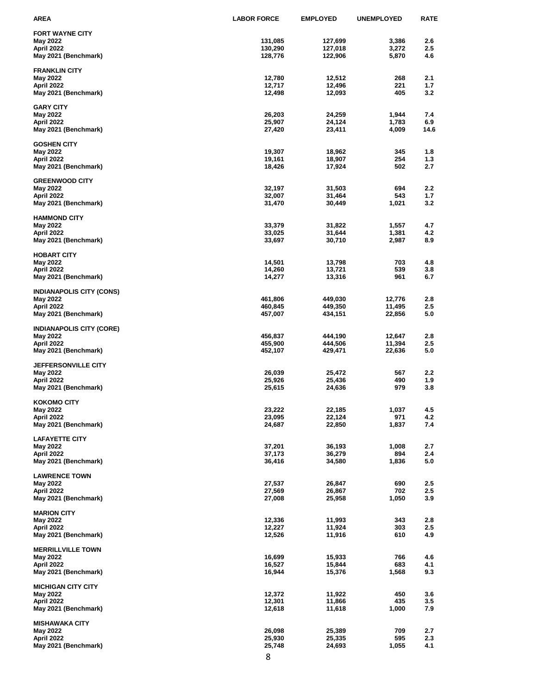| AREA                                        | <b>LABOR FORCE</b> | <b>EMPLOYED</b>    | <b>UNEMPLOYED</b> | <b>RATE</b>      |
|---------------------------------------------|--------------------|--------------------|-------------------|------------------|
| <b>FORT WAYNE CITY</b>                      |                    |                    |                   |                  |
| May 2022                                    | 131,085            | 127,699            | 3,386             | 2.6              |
| April 2022                                  | 130,290            | 127,018            | 3,272             | 2.5              |
| May 2021 (Benchmark)                        | 128,776            | 122,906            | 5,870             | 4.6              |
| <b>FRANKLIN CITY</b>                        |                    |                    |                   |                  |
| May 2022                                    | 12,780             | 12,512             | 268               | 2.1              |
| April 2022                                  | 12,717             | 12,496             | 221               | 1.7              |
| May 2021 (Benchmark)                        | 12,498             | 12,093             | 405               | 3.2              |
| <b>GARY CITY</b>                            |                    |                    |                   |                  |
| May 2022                                    | 26,203             | 24,259             | 1,944             | 7.4              |
| April 2022                                  | 25,907             | 24,124             | 1,783             | 6.9              |
| May 2021 (Benchmark)                        | 27,420             | 23,411             | 4,009             | 14.6             |
| <b>GOSHEN CITY</b>                          |                    |                    |                   |                  |
| May 2022                                    | 19,307             | 18,962             | 345               | 1.8              |
| April 2022                                  | 19,161             | 18,907             | 254               | 1.3              |
| May 2021 (Benchmark)                        | 18,426             | 17,924             | 502               | 2.7              |
| <b>GREENWOOD CITY</b>                       |                    |                    |                   |                  |
| May 2022                                    | 32,197             | 31,503             | 694               | 2.2              |
| April 2022                                  | 32,007             | 31,464             | 543               | 1.7              |
| May 2021 (Benchmark)                        | 31,470             | 30,449             | 1,021             | 3.2              |
| <b>HAMMOND CITY</b>                         |                    |                    |                   |                  |
| May 2022                                    | 33,379             | 31,822             | 1,557             | 4.7              |
| April 2022                                  | 33,025             | 31,644             | 1,381             | 4.2              |
| May 2021 (Benchmark)                        | 33,697             | 30,710             | 2,987             | 8.9              |
|                                             |                    |                    |                   |                  |
| <b>HOBART CITY</b><br>May 2022              | 14,501             | 13,798             | 703               | 4.8              |
| April 2022                                  | 14,260             | 13,721             | 539               | 3.8              |
| May 2021 (Benchmark)                        | 14,277             | 13,316             | 961               | 6.7              |
|                                             |                    |                    |                   |                  |
| <b>INDIANAPOLIS CITY (CONS)</b><br>May 2022 | 461,806            | 449,030            | 12,776            | 2.8              |
| April 2022                                  | 460,845            | 449,350            | 11,495            | 2.5              |
| May 2021 (Benchmark)                        | 457,007            | 434,151            | 22,856            | 5.0              |
|                                             |                    |                    |                   |                  |
| <b>INDIANAPOLIS CITY (CORE)</b>             | 456,837            |                    | 12,647            | 2.8              |
| May 2022<br>April 2022                      | 455,900            | 444,190<br>444,506 | 11,394            | 2.5              |
| May 2021 (Benchmark)                        | 452,107            | 429,471            | 22,636            | 5.0              |
|                                             |                    |                    |                   |                  |
| <b>JEFFERSONVILLE CITY</b><br>May 2022      | 26,039             | 25,472             | 567               | $2.2\phantom{0}$ |
| April 2022                                  | 25,926             | 25,436             | 490               | 1.9              |
| May 2021 (Benchmark)                        | 25,615             | 24,636             | 979               | 3.8              |
|                                             |                    |                    |                   |                  |
| <b>KOKOMO CITY</b><br>May 2022              | 23,222             | 22,185             | 1,037             | 4.5              |
| April 2022                                  | 23,095             | 22,124             | 971               | 4.2              |
| May 2021 (Benchmark)                        | 24,687             | 22,850             | 1,837             | 7.4              |
|                                             |                    |                    |                   |                  |
| <b>LAFAYETTE CITY</b><br>May 2022           | 37,201             | 36,193             | 1,008             | 2.7              |
| April 2022                                  | 37,173             | 36,279             | 894               | 2.4              |
| May 2021 (Benchmark)                        | 36,416             | 34,580             | 1,836             | 5.0              |
|                                             |                    |                    |                   |                  |
| <b>LAWRENCE TOWN</b><br>May 2022            | 27,537             | 26,847             | 690               | 2.5              |
| April 2022                                  | 27,569             | 26,867             | 702               | 2.5              |
| May 2021 (Benchmark)                        | 27,008             | 25,958             | 1,050             | 3.9              |
|                                             |                    |                    |                   |                  |
| <b>MARION CITY</b><br>May 2022              | 12,336             | 11,993             | 343               | 2.8              |
| April 2022                                  | 12,227             | 11,924             | 303               | 2.5              |
| May 2021 (Benchmark)                        | 12,526             | 11,916             | 610               | 4.9              |
|                                             |                    |                    |                   |                  |
| <b>MERRILLVILLE TOWN</b>                    | 16,699             | 15,933             | 766               | 4.6              |
| May 2022<br>April 2022                      | 16,527             | 15,844             | 683               | 4.1              |
| May 2021 (Benchmark)                        | 16,944             | 15,376             | 1,568             | 9.3              |
|                                             |                    |                    |                   |                  |
| <b>MICHIGAN CITY CITY</b>                   | 12,372             |                    |                   |                  |
| May 2022<br>April 2022                      | 12,301             | 11,922<br>11,866   | 450<br>435        | 3.6<br>3.5       |
| May 2021 (Benchmark)                        | 12,618             | 11,618             | 1,000             | 7.9              |
|                                             |                    |                    |                   |                  |
| <b>MISHAWAKA CITY</b>                       |                    |                    |                   |                  |
| May 2022<br>April 2022                      | 26,098<br>25,930   | 25,389<br>25,335   | 709<br>595        | 2.7<br>2.3       |
| May 2021 (Benchmark)                        | 25,748             | 24,693             | 1,055             | 4.1              |
|                                             |                    |                    |                   |                  |